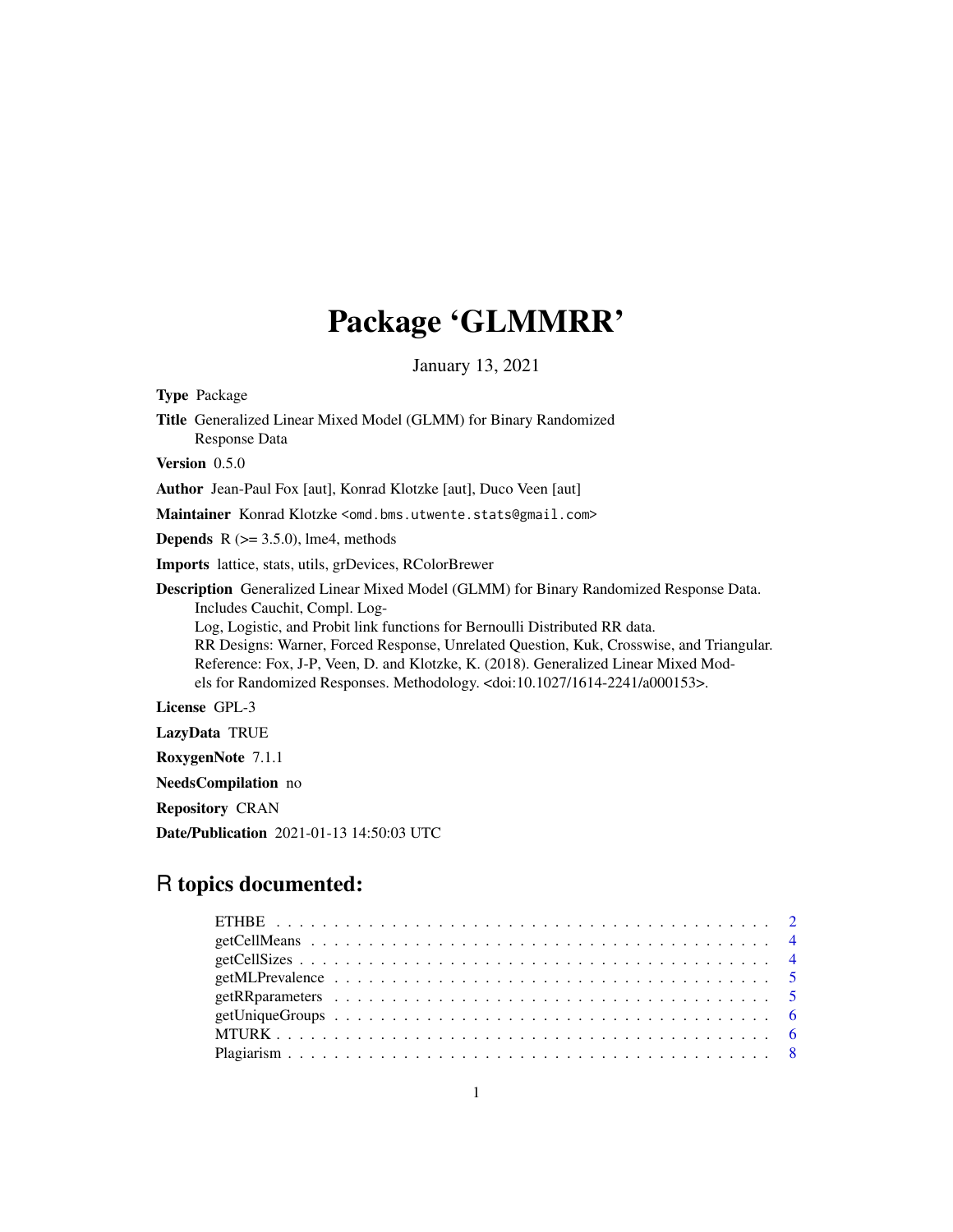# Package 'GLMMRR'

January 13, 2021

<span id="page-0-0"></span>Type Package Title Generalized Linear Mixed Model (GLMM) for Binary Randomized Response Data Version 0.5.0 Author Jean-Paul Fox [aut], Konrad Klotzke [aut], Duco Veen [aut] Maintainer Konrad Klotzke <omd.bms.utwente.stats@gmail.com> **Depends** R  $(>= 3.5.0)$ , lme4, methods Imports lattice, stats, utils, grDevices, RColorBrewer Description Generalized Linear Mixed Model (GLMM) for Binary Randomized Response Data. Includes Cauchit, Compl. Log-Log, Logistic, and Probit link functions for Bernoulli Distributed RR data. RR Designs: Warner, Forced Response, Unrelated Question, Kuk, Crosswise, and Triangular. Reference: Fox, J-P, Veen, D. and Klotzke, K. (2018). Generalized Linear Mixed Models for Randomized Responses. Methodology. <doi:10.1027/1614-2241/a000153>. License GPL-3 LazyData TRUE

RoxygenNote 7.1.1

NeedsCompilation no

Repository CRAN

Date/Publication 2021-01-13 14:50:03 UTC

# R topics documented: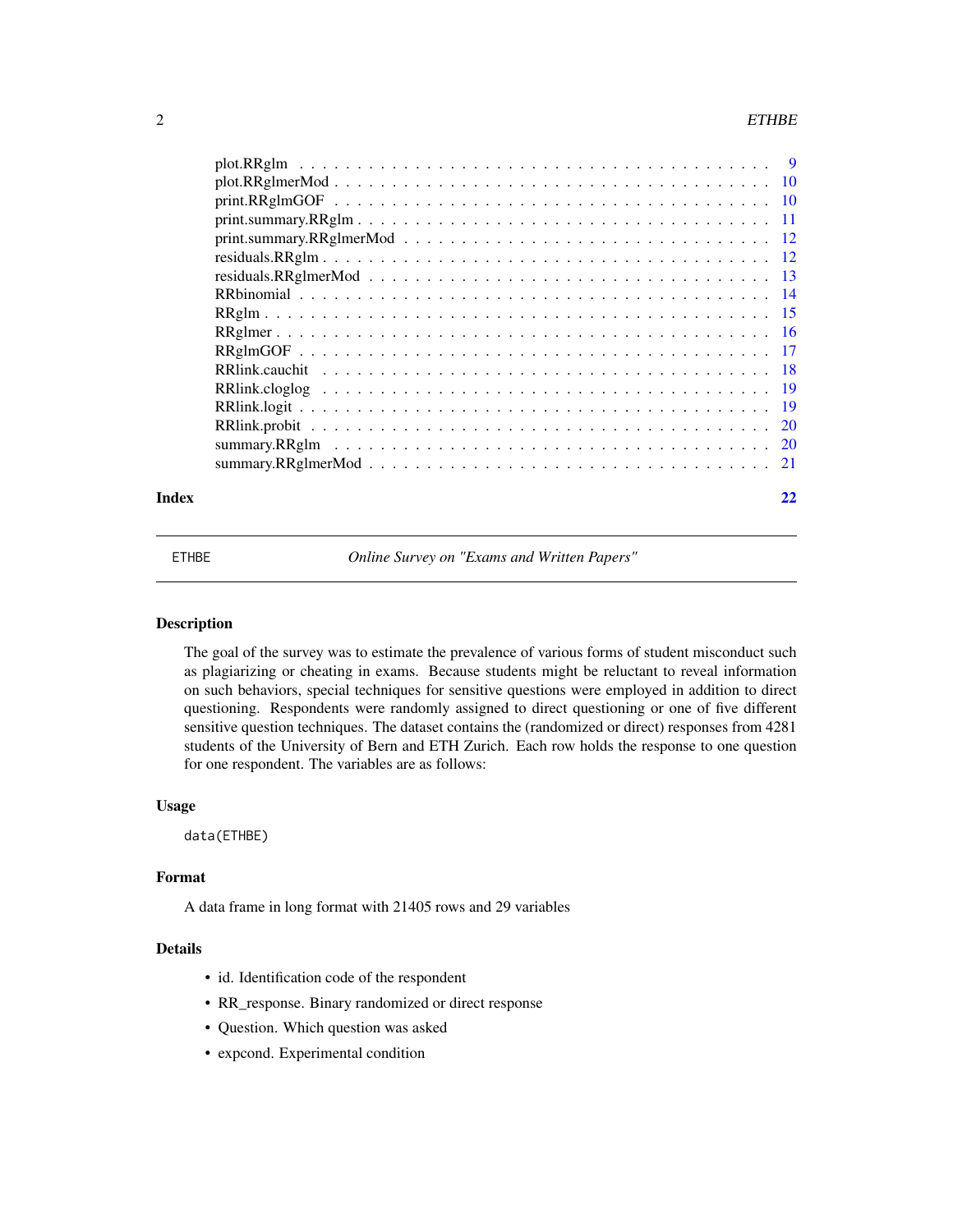#### <span id="page-1-0"></span> $2 \tETHBE$

| Index |  |
|-------|--|
|       |  |
|       |  |
|       |  |
|       |  |
|       |  |
|       |  |
|       |  |
|       |  |
|       |  |
|       |  |
|       |  |
|       |  |
|       |  |
|       |  |
|       |  |
|       |  |
|       |  |

ETHBE *Online Survey on "Exams and Written Papers"*

# Description

The goal of the survey was to estimate the prevalence of various forms of student misconduct such as plagiarizing or cheating in exams. Because students might be reluctant to reveal information on such behaviors, special techniques for sensitive questions were employed in addition to direct questioning. Respondents were randomly assigned to direct questioning or one of five different sensitive question techniques. The dataset contains the (randomized or direct) responses from 4281 students of the University of Bern and ETH Zurich. Each row holds the response to one question for one respondent. The variables are as follows:

## Usage

data(ETHBE)

#### Format

A data frame in long format with 21405 rows and 29 variables

#### Details

- id. Identification code of the respondent
- RR\_response. Binary randomized or direct response
- Question. Which question was asked
- expcond. Experimental condition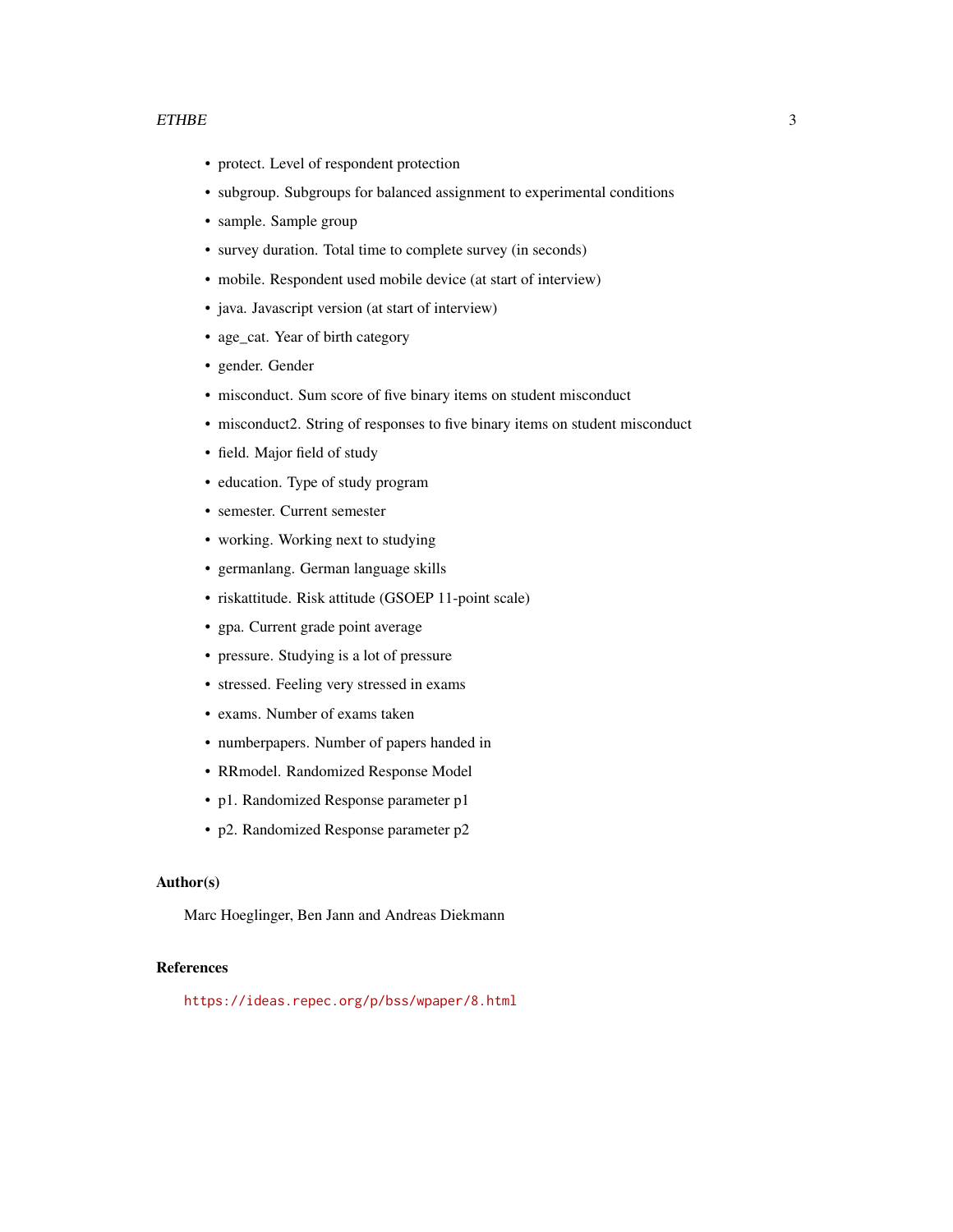#### $\blacksquare$   $\blacksquare$   $\blacksquare$   $\blacksquare$   $\blacksquare$   $\blacksquare$   $\blacksquare$   $\blacksquare$   $\blacksquare$   $\blacksquare$   $\blacksquare$   $\blacksquare$   $\blacksquare$   $\blacksquare$   $\blacksquare$   $\blacksquare$   $\blacksquare$   $\blacksquare$   $\blacksquare$   $\blacksquare$   $\blacksquare$   $\blacksquare$   $\blacksquare$   $\blacksquare$   $\blacksquare$   $\blacksquare$   $\blacksquare$   $\blacksquare$   $\blacksquare$   $\blacksquare$   $\blacksquare$   $\blacks$

- protect. Level of respondent protection
- subgroup. Subgroups for balanced assignment to experimental conditions
- sample. Sample group
- survey duration. Total time to complete survey (in seconds)
- mobile. Respondent used mobile device (at start of interview)
- java. Javascript version (at start of interview)
- age\_cat. Year of birth category
- gender. Gender
- misconduct. Sum score of five binary items on student misconduct
- misconduct2. String of responses to five binary items on student misconduct
- field. Major field of study
- education. Type of study program
- semester. Current semester
- working. Working next to studying
- germanlang. German language skills
- riskattitude. Risk attitude (GSOEP 11-point scale)
- gpa. Current grade point average
- pressure. Studying is a lot of pressure
- stressed. Feeling very stressed in exams
- exams. Number of exams taken
- numberpapers. Number of papers handed in
- RRmodel. Randomized Response Model
- p1. Randomized Response parameter p1
- p2. Randomized Response parameter p2

#### Author(s)

Marc Hoeglinger, Ben Jann and Andreas Diekmann

#### References

<https://ideas.repec.org/p/bss/wpaper/8.html>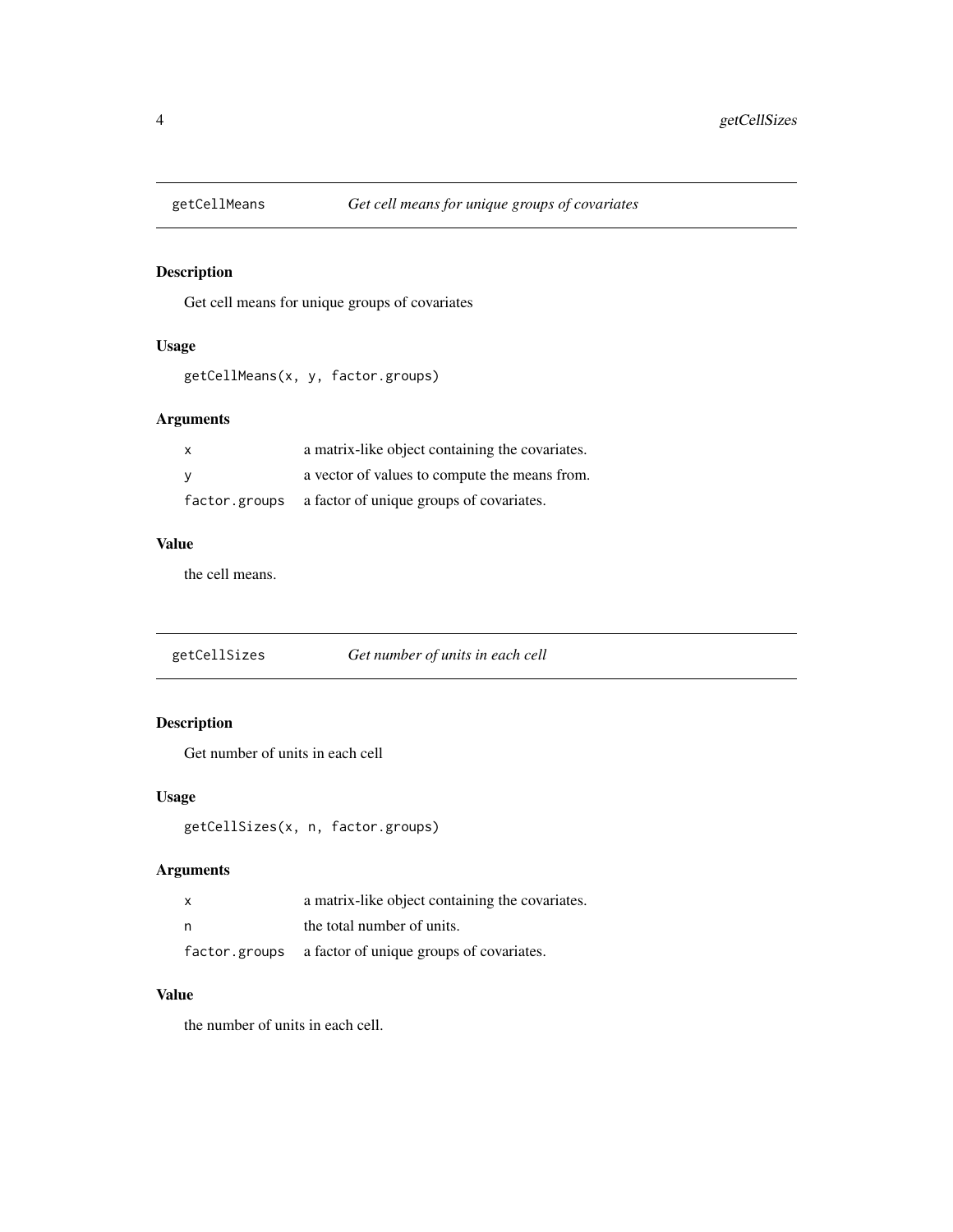<span id="page-3-0"></span>

Get cell means for unique groups of covariates

# Usage

getCellMeans(x, y, factor.groups)

# Arguments

| a matrix-like object containing the covariates.        |
|--------------------------------------------------------|
| a vector of values to compute the means from.          |
| factor.groups a factor of unique groups of covariates. |

# Value

the cell means.

| getCellSizes | Get number of units in each cell |  |  |  |
|--------------|----------------------------------|--|--|--|
|              |                                  |  |  |  |

# Description

Get number of units in each cell

# Usage

getCellSizes(x, n, factor.groups)

# Arguments

| X | a matrix-like object containing the covariates.        |
|---|--------------------------------------------------------|
| n | the total number of units.                             |
|   | factor groups a factor of unique groups of covariates. |

# Value

the number of units in each cell.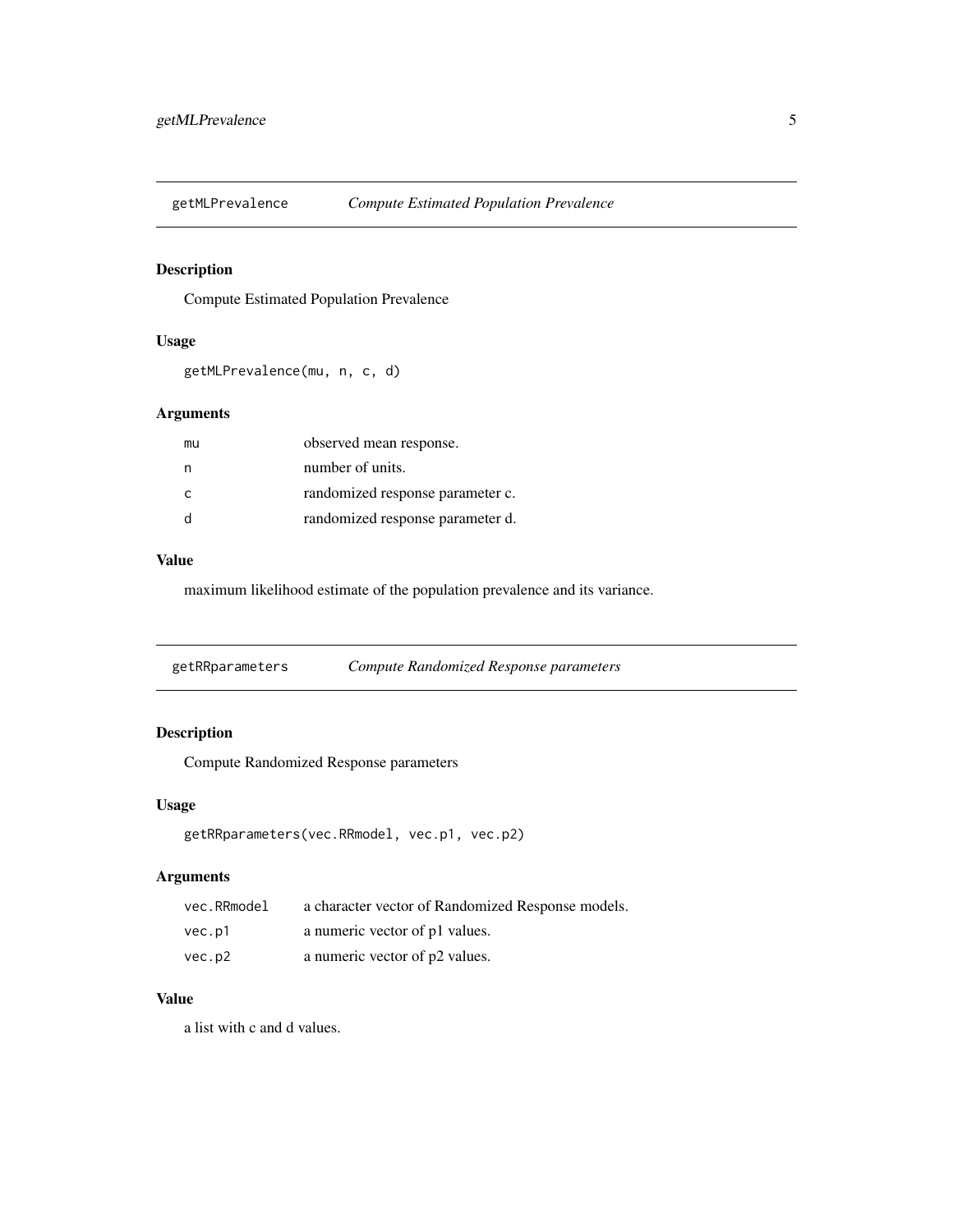<span id="page-4-0"></span>

Compute Estimated Population Prevalence

# Usage

```
getMLPrevalence(mu, n, c, d)
```
# Arguments

| mu           | observed mean response.          |
|--------------|----------------------------------|
|              | number of units.                 |
| C.           | randomized response parameter c. |
| <sub>d</sub> | randomized response parameter d. |

# Value

maximum likelihood estimate of the population prevalence and its variance.

| getRRparameters | Compute Randomized Response parameters |
|-----------------|----------------------------------------|
|-----------------|----------------------------------------|

# Description

Compute Randomized Response parameters

#### Usage

```
getRRparameters(vec.RRmodel, vec.p1, vec.p2)
```
# Arguments

| vec.RRmodel | a character vector of Randomized Response models. |
|-------------|---------------------------------------------------|
| vec.p1      | a numeric vector of p1 values.                    |
| vec.p2      | a numeric vector of p2 values.                    |

# Value

a list with c and d values.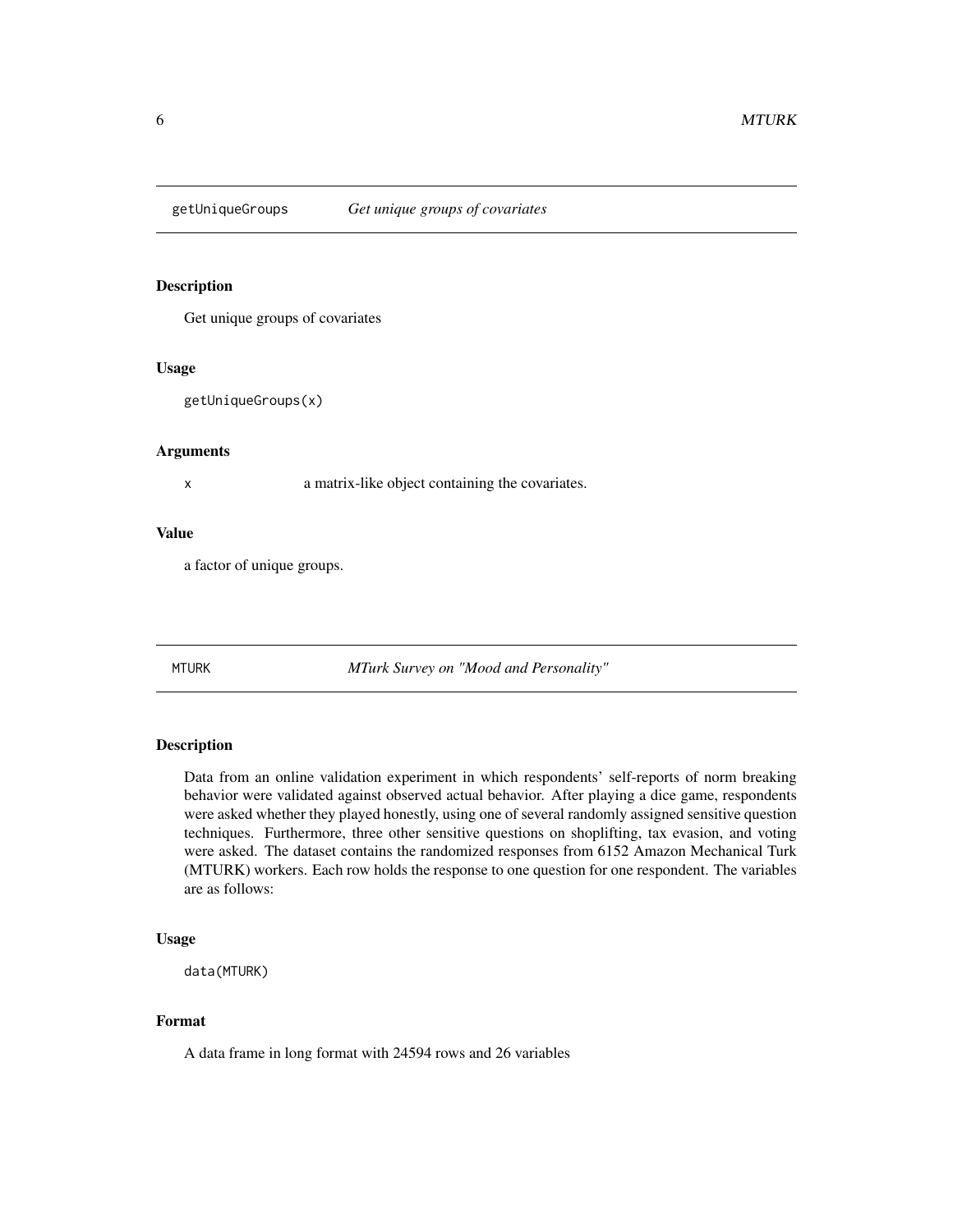<span id="page-5-0"></span>

Get unique groups of covariates

#### Usage

getUniqueGroups(x)

#### Arguments

x a matrix-like object containing the covariates.

#### Value

a factor of unique groups.

MTURK *MTurk Survey on "Mood and Personality"*

# Description

Data from an online validation experiment in which respondents' self-reports of norm breaking behavior were validated against observed actual behavior. After playing a dice game, respondents were asked whether they played honestly, using one of several randomly assigned sensitive question techniques. Furthermore, three other sensitive questions on shoplifting, tax evasion, and voting were asked. The dataset contains the randomized responses from 6152 Amazon Mechanical Turk (MTURK) workers. Each row holds the response to one question for one respondent. The variables are as follows:

#### Usage

```
data(MTURK)
```
#### Format

A data frame in long format with 24594 rows and 26 variables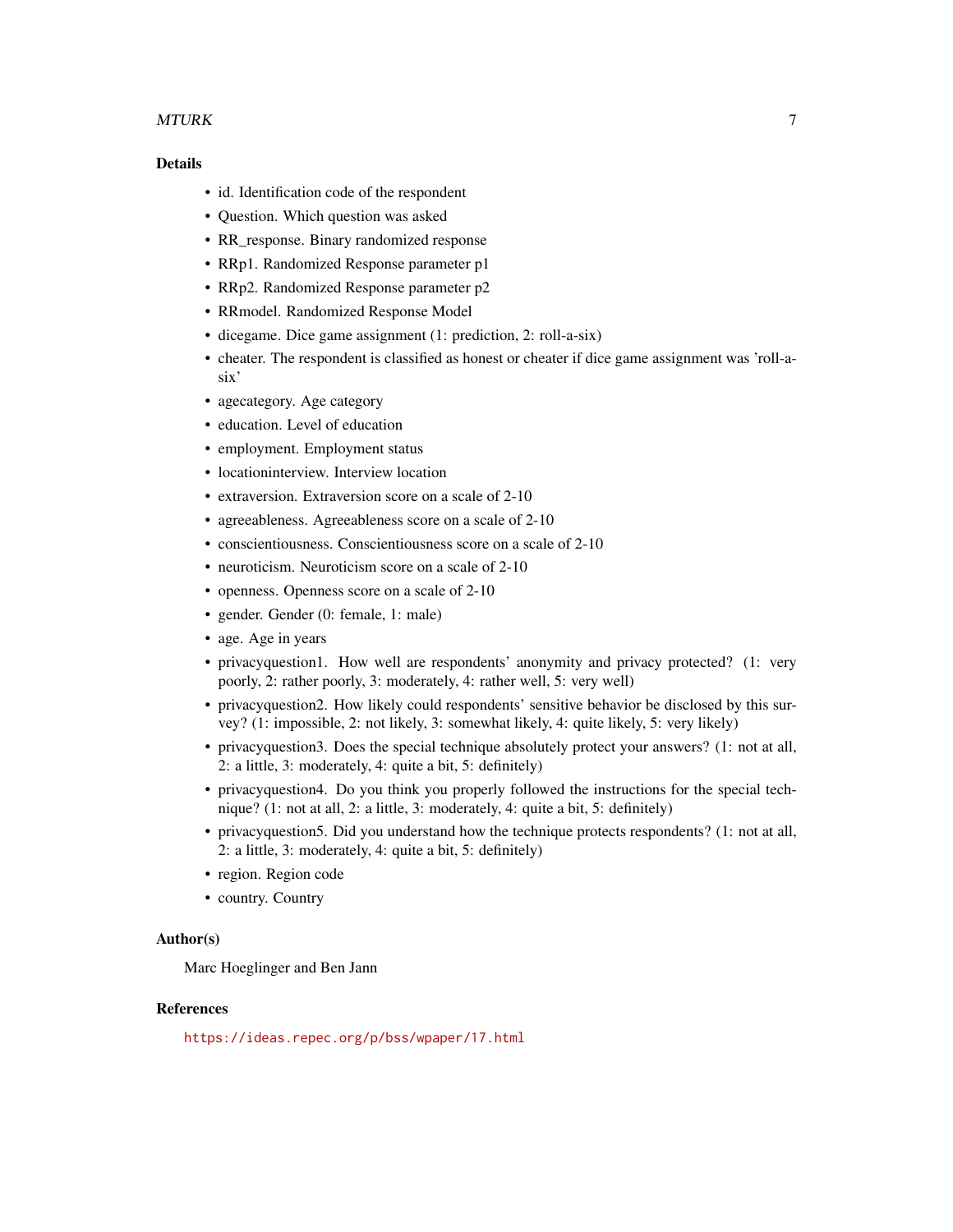#### $MTURK$  and the contract of the contract of the contract of the contract of the contract of the contract of the contract of the contract of the contract of the contract of the contract of the contract of the contract of the

### Details

- id. Identification code of the respondent
- Question. Which question was asked
- RR\_response. Binary randomized response
- RRp1. Randomized Response parameter p1
- RRp2. Randomized Response parameter p2
- RRmodel. Randomized Response Model
- dicegame. Dice game assignment (1: prediction, 2: roll-a-six)
- cheater. The respondent is classified as honest or cheater if dice game assignment was 'roll-asix'
- agecategory. Age category
- education. Level of education
- employment. Employment status
- locationinterview. Interview location
- extraversion. Extraversion score on a scale of 2-10
- agreeableness. Agreeableness score on a scale of 2-10
- conscientiousness. Conscientiousness score on a scale of 2-10
- neuroticism. Neuroticism score on a scale of 2-10
- openness. Openness score on a scale of 2-10
- gender. Gender (0: female, 1: male)
- age. Age in years
- privacyquestion1. How well are respondents' anonymity and privacy protected? (1: very poorly, 2: rather poorly, 3: moderately, 4: rather well, 5: very well)
- privacyquestion2. How likely could respondents' sensitive behavior be disclosed by this survey? (1: impossible, 2: not likely, 3: somewhat likely, 4: quite likely, 5: very likely)
- privacyquestion3. Does the special technique absolutely protect your answers? (1: not at all, 2: a little, 3: moderately, 4: quite a bit, 5: definitely)
- privacyquestion4. Do you think you properly followed the instructions for the special technique? (1: not at all, 2: a little, 3: moderately, 4: quite a bit, 5: definitely)
- privacyquestion5. Did you understand how the technique protects respondents? (1: not at all, 2: a little, 3: moderately, 4: quite a bit, 5: definitely)
- region. Region code
- country. Country

#### Author(s)

Marc Hoeglinger and Ben Jann

#### References

<https://ideas.repec.org/p/bss/wpaper/17.html>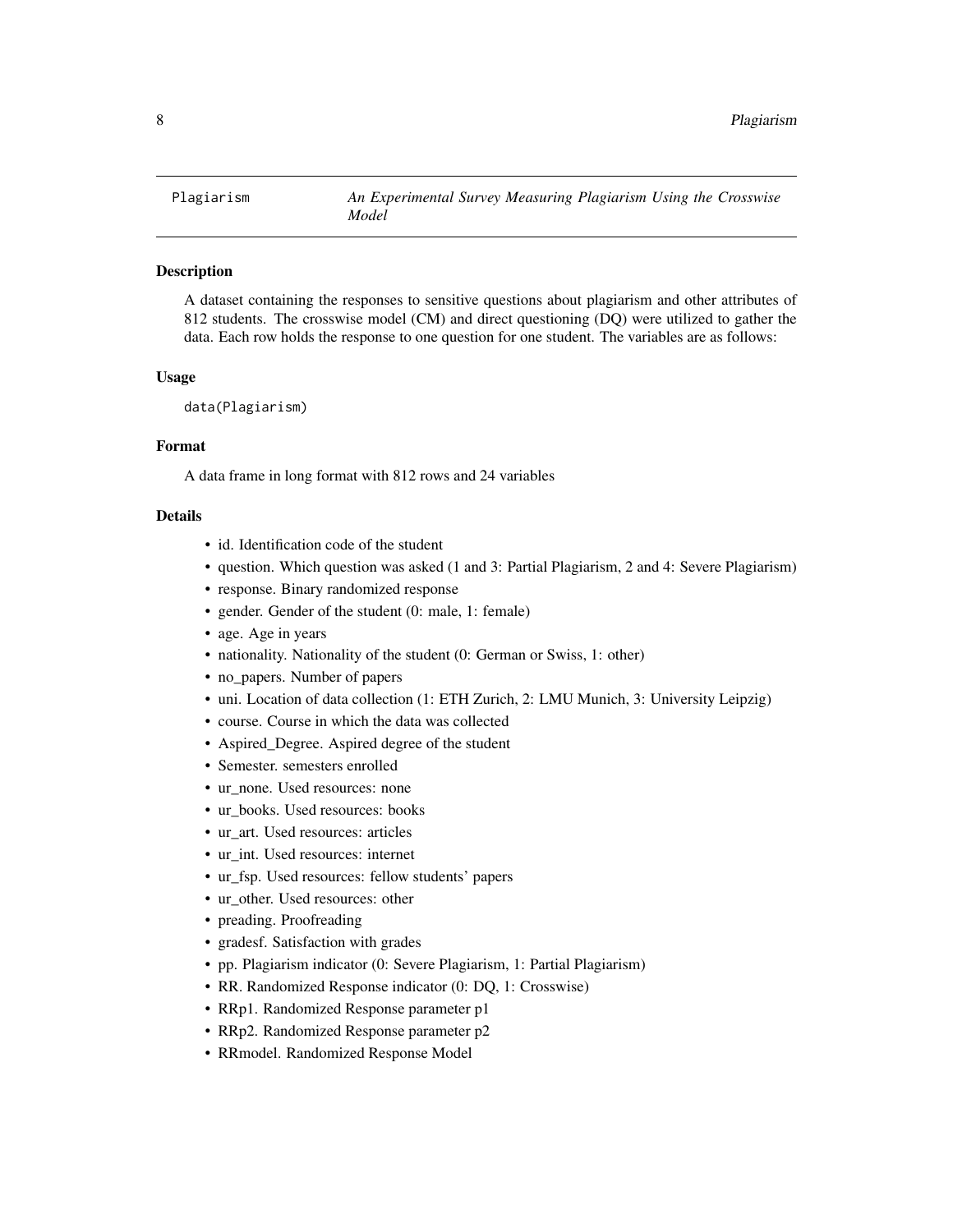<span id="page-7-0"></span>

A dataset containing the responses to sensitive questions about plagiarism and other attributes of 812 students. The crosswise model (CM) and direct questioning (DQ) were utilized to gather the data. Each row holds the response to one question for one student. The variables are as follows:

#### Usage

data(Plagiarism)

# Format

A data frame in long format with 812 rows and 24 variables

## Details

- id. Identification code of the student
- question. Which question was asked (1 and 3: Partial Plagiarism, 2 and 4: Severe Plagiarism)
- response. Binary randomized response
- gender. Gender of the student (0: male, 1: female)
- age. Age in years
- nationality. Nationality of the student (0: German or Swiss, 1: other)
- no papers. Number of papers
- uni. Location of data collection (1: ETH Zurich, 2: LMU Munich, 3: University Leipzig)
- course. Course in which the data was collected
- Aspired\_Degree. Aspired degree of the student
- Semester. semesters enrolled
- ur\_none. Used resources: none
- ur\_books. Used resources: books
- ur\_art. Used resources: articles
- ur\_int. Used resources: internet
- ur\_fsp. Used resources: fellow students' papers
- ur\_other. Used resources: other
- preading. Proofreading
- gradesf. Satisfaction with grades
- pp. Plagiarism indicator (0: Severe Plagiarism, 1: Partial Plagiarism)
- RR. Randomized Response indicator (0: DQ, 1: Crosswise)
- RRp1. Randomized Response parameter p1
- RRp2. Randomized Response parameter p2
- RRmodel. Randomized Response Model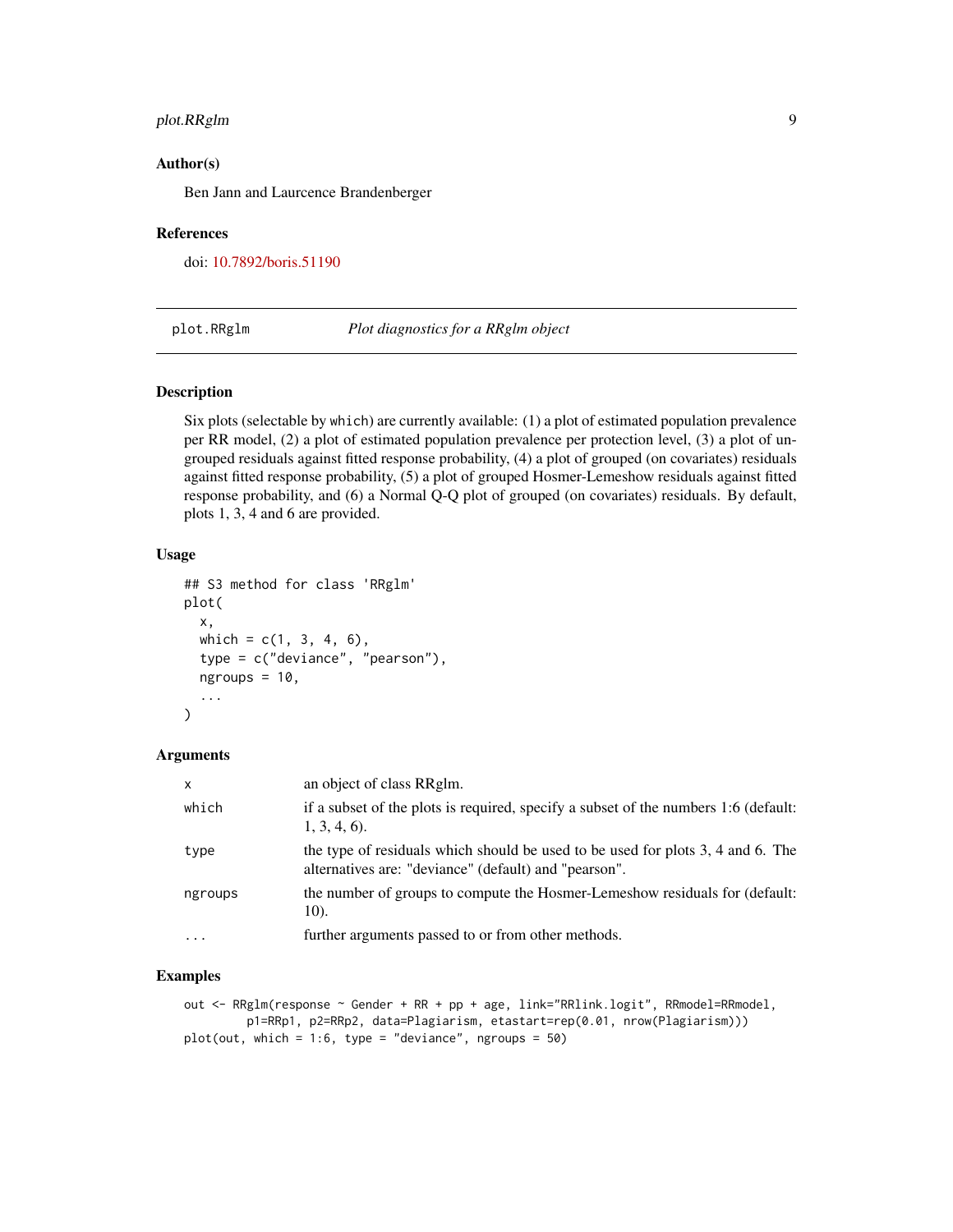# <span id="page-8-0"></span>plot.RRglm 9

#### Author(s)

Ben Jann and Laurcence Brandenberger

#### References

doi: [10.7892/boris.51190](https://doi.org/10.7892/boris.51190)

plot.RRglm *Plot diagnostics for a RRglm object*

# Description

Six plots (selectable by which) are currently available: (1) a plot of estimated population prevalence per RR model, (2) a plot of estimated population prevalence per protection level, (3) a plot of ungrouped residuals against fitted response probability, (4) a plot of grouped (on covariates) residuals against fitted response probability, (5) a plot of grouped Hosmer-Lemeshow residuals against fitted response probability, and (6) a Normal Q-Q plot of grouped (on covariates) residuals. By default, plots 1, 3, 4 and 6 are provided.

#### Usage

```
## S3 method for class 'RRglm'
plot(
  x,
  which = c(1, 3, 4, 6),
  type = c("deviance", "pearson"),
  ngroups = 10,
  ...
\lambda
```
#### **Arguments**

| $\mathsf{x}$ | an object of class RRglm.                                                                                                                |
|--------------|------------------------------------------------------------------------------------------------------------------------------------------|
| which        | if a subset of the plots is required, specify a subset of the numbers 1:6 (default:<br>$1, 3, 4, 6$ .                                    |
| type         | the type of residuals which should be used to be used for plots 3, 4 and 6. The<br>alternatives are: "deviance" (default) and "pearson". |
| ngroups      | the number of groups to compute the Hosmer-Lemeshow residuals for (default:<br>10).                                                      |
| $\ddotsc$    | further arguments passed to or from other methods.                                                                                       |

#### Examples

```
out <- RRglm(response ~ Gender + RR + pp + age, link="RRlink.logit", RRmodel=RRmodel,
        p1=RRp1, p2=RRp2, data=Plagiarism, etastart=rep(0.01, nrow(Plagiarism)))
plot(out, which = 1:6, type = "deviance", ngroups = 50)
```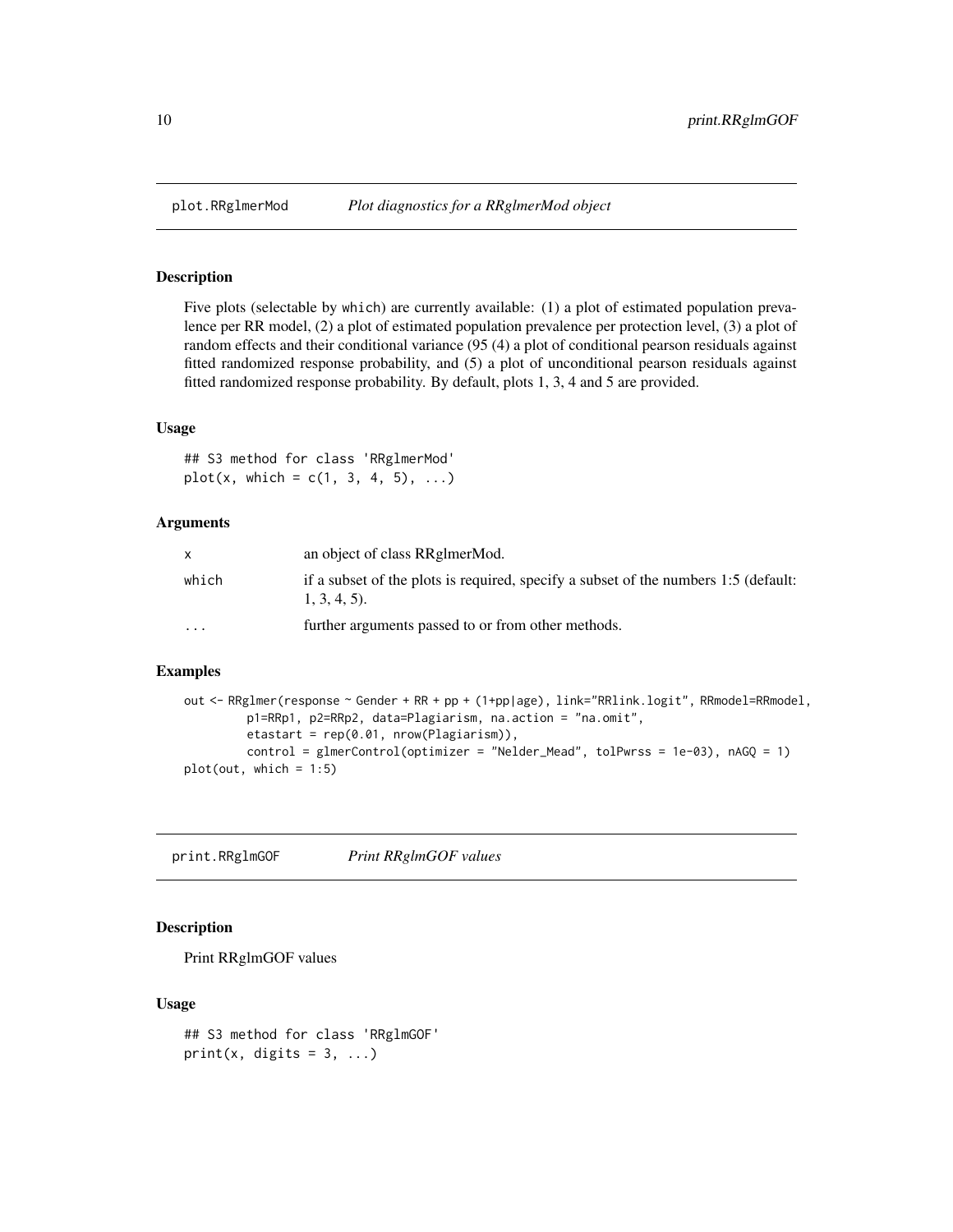<span id="page-9-0"></span>

Five plots (selectable by which) are currently available: (1) a plot of estimated population prevalence per RR model, (2) a plot of estimated population prevalence per protection level, (3) a plot of random effects and their conditional variance (95 (4) a plot of conditional pearson residuals against fitted randomized response probability, and (5) a plot of unconditional pearson residuals against fitted randomized response probability. By default, plots 1, 3, 4 and 5 are provided.

# Usage

## S3 method for class 'RRglmerMod'  $plot(x, which = c(1, 3, 4, 5), ...)$ 

#### Arguments

| X        | an object of class RRgImerMod.                                                                        |
|----------|-------------------------------------------------------------------------------------------------------|
| which    | if a subset of the plots is required, specify a subset of the numbers 1:5 (default:<br>$1, 3, 4, 5$ . |
| $\cdots$ | further arguments passed to or from other methods.                                                    |

#### Examples

```
out <- RRglmer(response ~ Gender + RR + pp + (1+pp|age), link="RRlink.logit", RRmodel=RRmodel,
         p1=RRp1, p2=RRp2, data=Plagiarism, na.action = "na.omit",
         etastart = rep(0.01, nrow(Plagiarism)),
         control = glmerControl(optimizer = "Nelder_Mead", tolPwrss = 1e-03), nAGQ = 1)
plot(out, which = 1:5)
```
print.RRglmGOF *Print RRglmGOF values*

#### Description

Print RRglmGOF values

#### Usage

```
## S3 method for class 'RRglmGOF'
print(x, digits = 3, ...)
```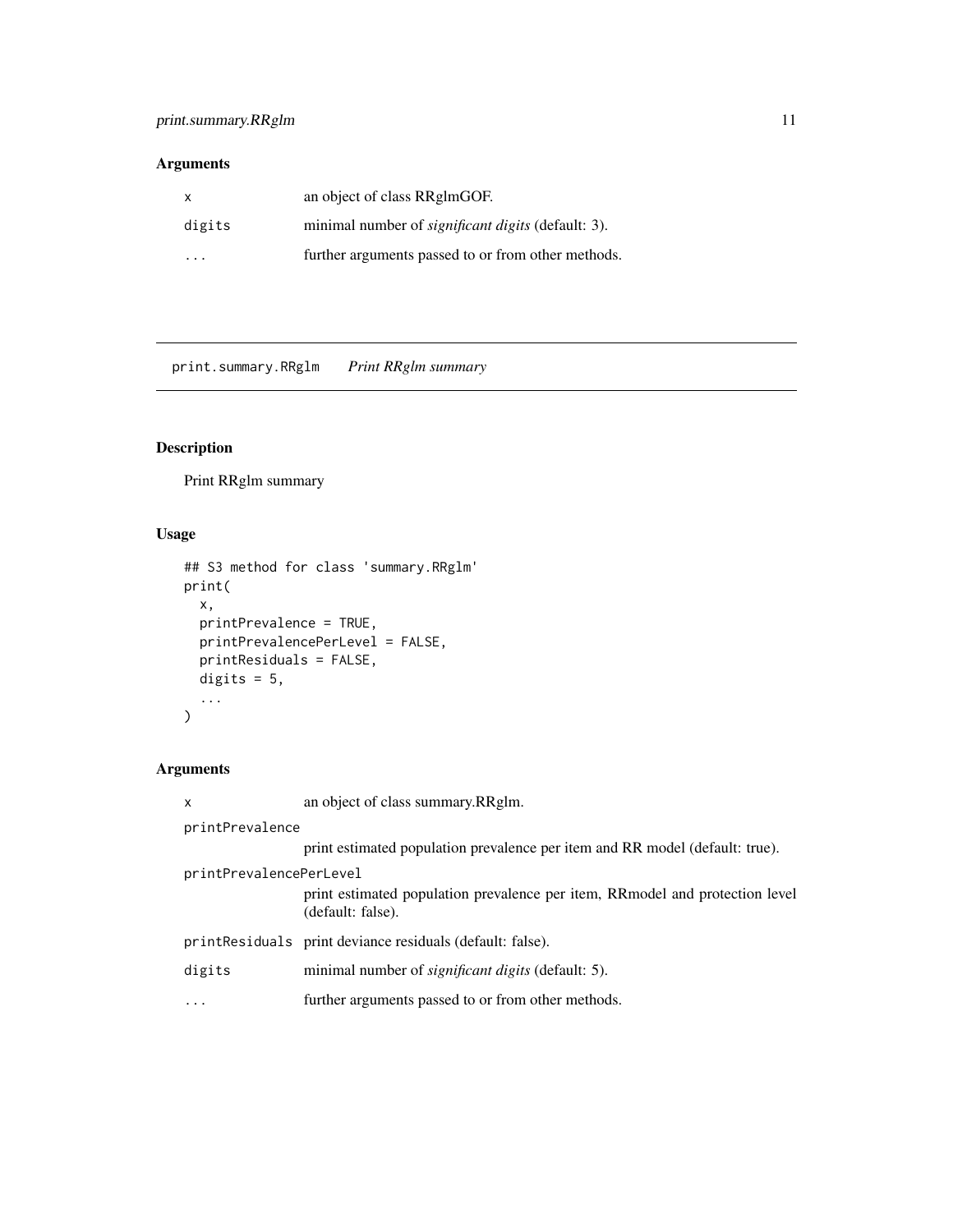# <span id="page-10-0"></span>Arguments

| $\mathsf{x}$ | an object of class RRglmGOF.                              |
|--------------|-----------------------------------------------------------|
| digits       | minimal number of <i>significant digits</i> (default: 3). |
| .            | further arguments passed to or from other methods.        |

print.summary.RRglm *Print RRglm summary*

# Description

Print RRglm summary

# Usage

```
## S3 method for class 'summary.RRglm'
print(
 x,
 printPrevalence = TRUE,
 printPrevalencePerLevel = FALSE,
 printResiduals = FALSE,
 digits = 5,
  ...
\mathcal{L}
```
# Arguments

| X                       | an object of class summary.RRglm.                                                                 |
|-------------------------|---------------------------------------------------------------------------------------------------|
| printPrevalence         |                                                                                                   |
|                         | print estimated population prevalence per item and RR model (default: true).                      |
| printPrevalencePerLevel |                                                                                                   |
|                         | print estimated population prevalence per item, RRmodel and protection level<br>(default: false). |
|                         | print Residuals print deviance residuals (default: false).                                        |
| digits                  | minimal number of <i>significant digits</i> (default: 5).                                         |
| .                       | further arguments passed to or from other methods.                                                |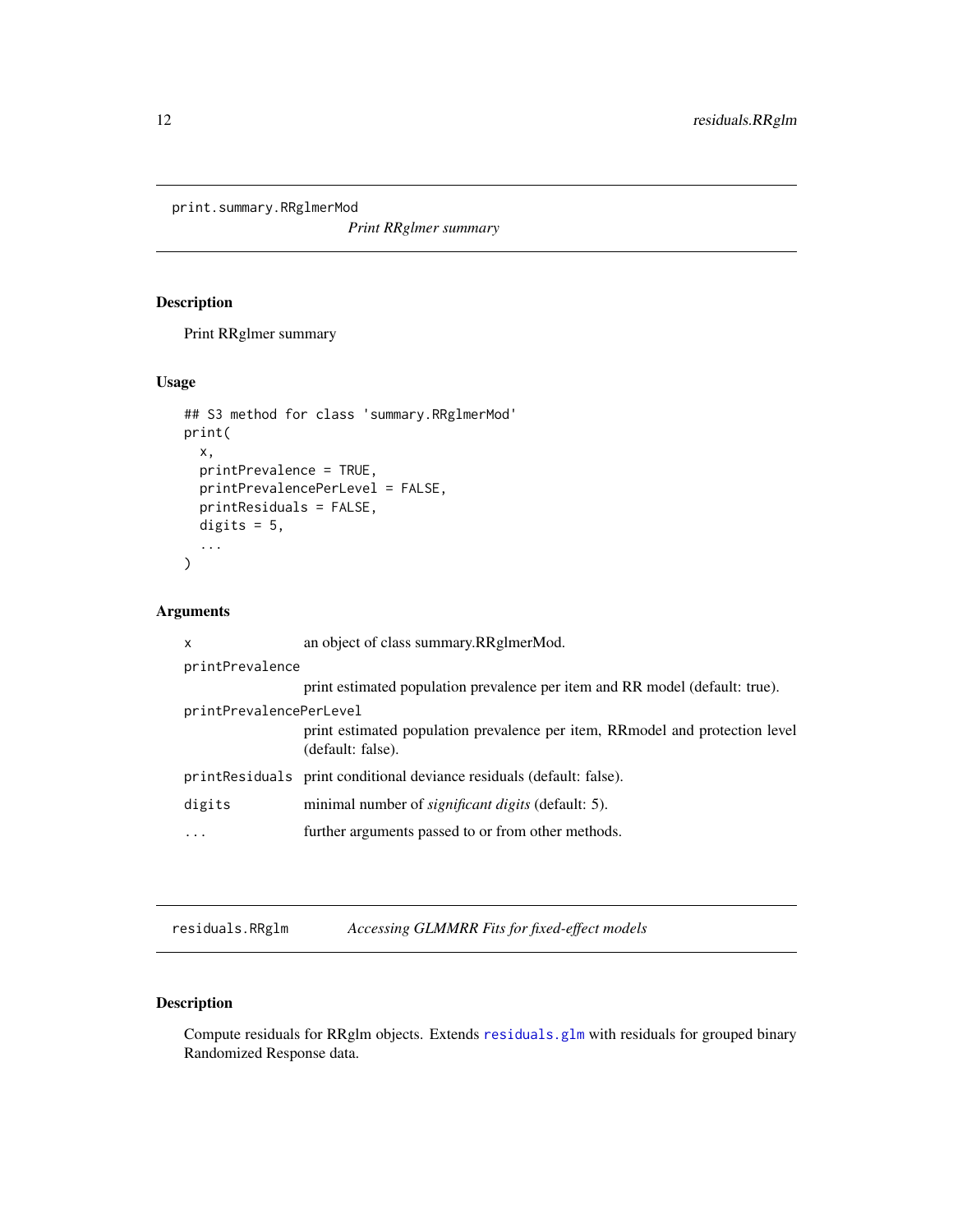<span id="page-11-0"></span>print.summary.RRglmerMod

*Print RRglmer summary*

# Description

Print RRglmer summary

#### Usage

```
## S3 method for class 'summary.RRglmerMod'
print(
 x,
 printPrevalence = TRUE,
 printPrevalencePerLevel = FALSE,
 printResiduals = FALSE,
 digits = 5,
  ...
)
```
# Arguments

| $\mathsf{x}$            | an object of class summary.RRgImerMod.                                                            |
|-------------------------|---------------------------------------------------------------------------------------------------|
| printPrevalence         |                                                                                                   |
|                         | print estimated population prevalence per item and RR model (default: true).                      |
| printPrevalencePerLevel | print estimated population prevalence per item, RRmodel and protection level<br>(default: false). |
|                         | print Residuals print conditional deviance residuals (default: false).                            |
| digits                  | minimal number of <i>significant digits</i> (default: 5).                                         |
|                         | further arguments passed to or from other methods.                                                |

residuals.RRglm *Accessing GLMMRR Fits for fixed-effect models*

# Description

Compute residuals for RRglm objects. Extends [residuals.glm](#page-0-0) with residuals for grouped binary Randomized Response data.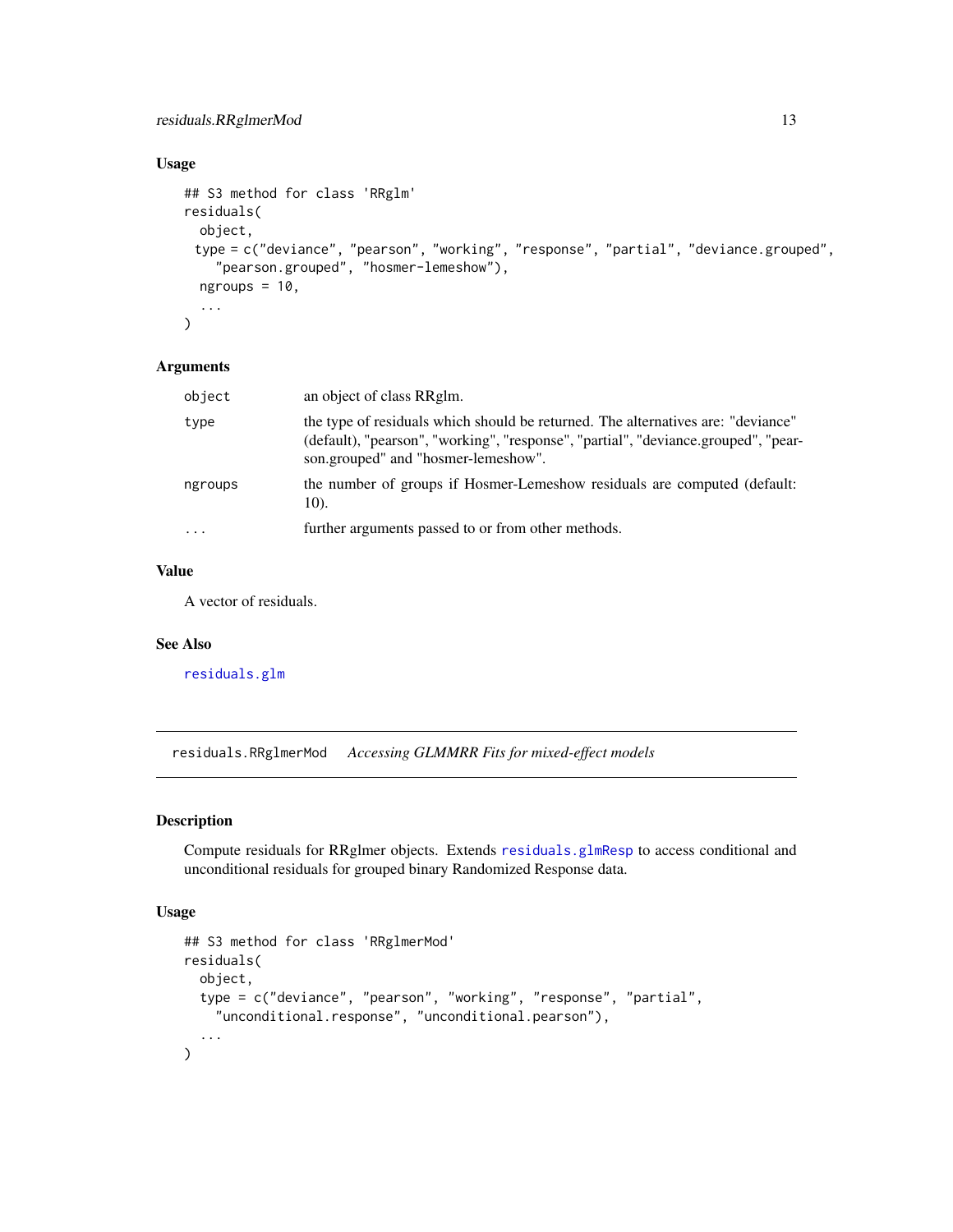# <span id="page-12-0"></span>residuals.RRglmerMod 13

# Usage

```
## S3 method for class 'RRglm'
residuals(
 object,
 type = c("deviance", "pearson", "working", "response", "partial", "deviance.grouped",
    "pearson.grouped", "hosmer-lemeshow"),
  ngroups = 10,
  ...
\mathcal{L}
```
#### Arguments

| object    | an object of class RRglm.                                                                                                                                                                                     |
|-----------|---------------------------------------------------------------------------------------------------------------------------------------------------------------------------------------------------------------|
| type      | the type of residuals which should be returned. The alternatives are: "deviance"<br>(default), "pearson", "working", "response", "partial", "deviance.grouped", "pear-<br>son.grouped" and "hosmer-lemeshow". |
| ngroups   | the number of groups if Hosmer-Lemeshow residuals are computed (default:<br>10).                                                                                                                              |
| $\ddotsc$ | further arguments passed to or from other methods.                                                                                                                                                            |

#### Value

A vector of residuals.

#### See Also

[residuals.glm](#page-0-0)

residuals.RRglmerMod *Accessing GLMMRR Fits for mixed-effect models*

# Description

Compute residuals for RRglmer objects. Extends [residuals.glmResp](#page-0-0) to access conditional and unconditional residuals for grouped binary Randomized Response data.

#### Usage

```
## S3 method for class 'RRglmerMod'
residuals(
 object,
  type = c("deviance", "pearson", "working", "response", "partial",
    "unconditional.response", "unconditional.pearson"),
  ...
\mathcal{L}
```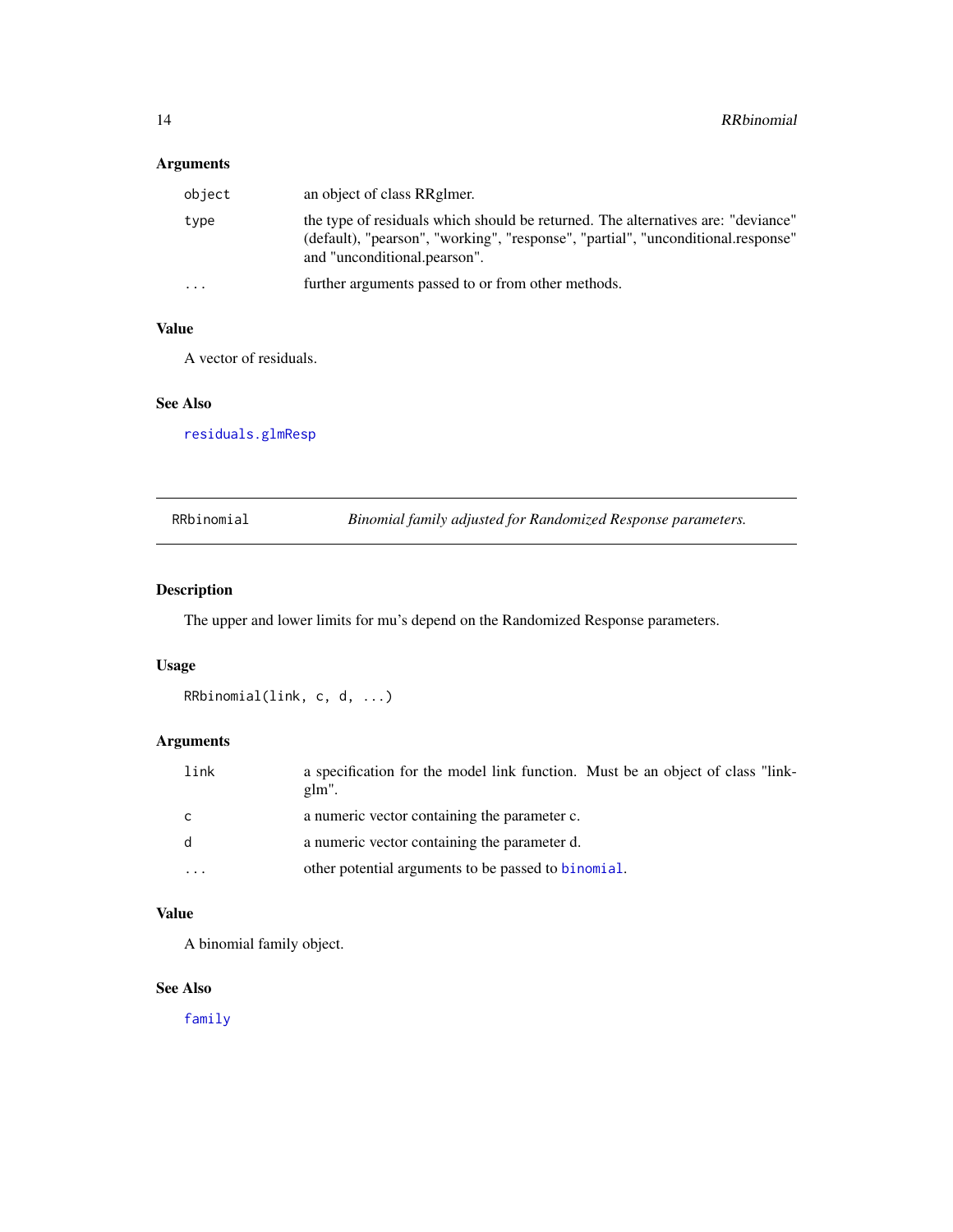# <span id="page-13-0"></span>Arguments

| object   | an object of class RRgImer.                                                                                                                                                                          |
|----------|------------------------------------------------------------------------------------------------------------------------------------------------------------------------------------------------------|
| type     | the type of residuals which should be returned. The alternatives are: "deviance"<br>(default), "pearson", "working", "response", "partial", "unconditional.response"<br>and "unconditional.pearson". |
| $\cdots$ | further arguments passed to or from other methods.                                                                                                                                                   |

### Value

A vector of residuals.

# See Also

[residuals.glmResp](#page-0-0)

RRbinomial *Binomial family adjusted for Randomized Response parameters.*

# Description

The upper and lower limits for mu's depend on the Randomized Response parameters.

# Usage

RRbinomial(link, c, d, ...)

# Arguments

| link                    | a specification for the model link function. Must be an object of class "link-<br>$\mathfrak{glm}$ ". |
|-------------------------|-------------------------------------------------------------------------------------------------------|
| <sub>c</sub>            | a numeric vector containing the parameter c.                                                          |
| $\mathsf{p}$            | a numeric vector containing the parameter d.                                                          |
| $\cdot$ $\cdot$ $\cdot$ | other potential arguments to be passed to binomial.                                                   |

#### Value

A binomial family object.

#### See Also

[family](#page-0-0)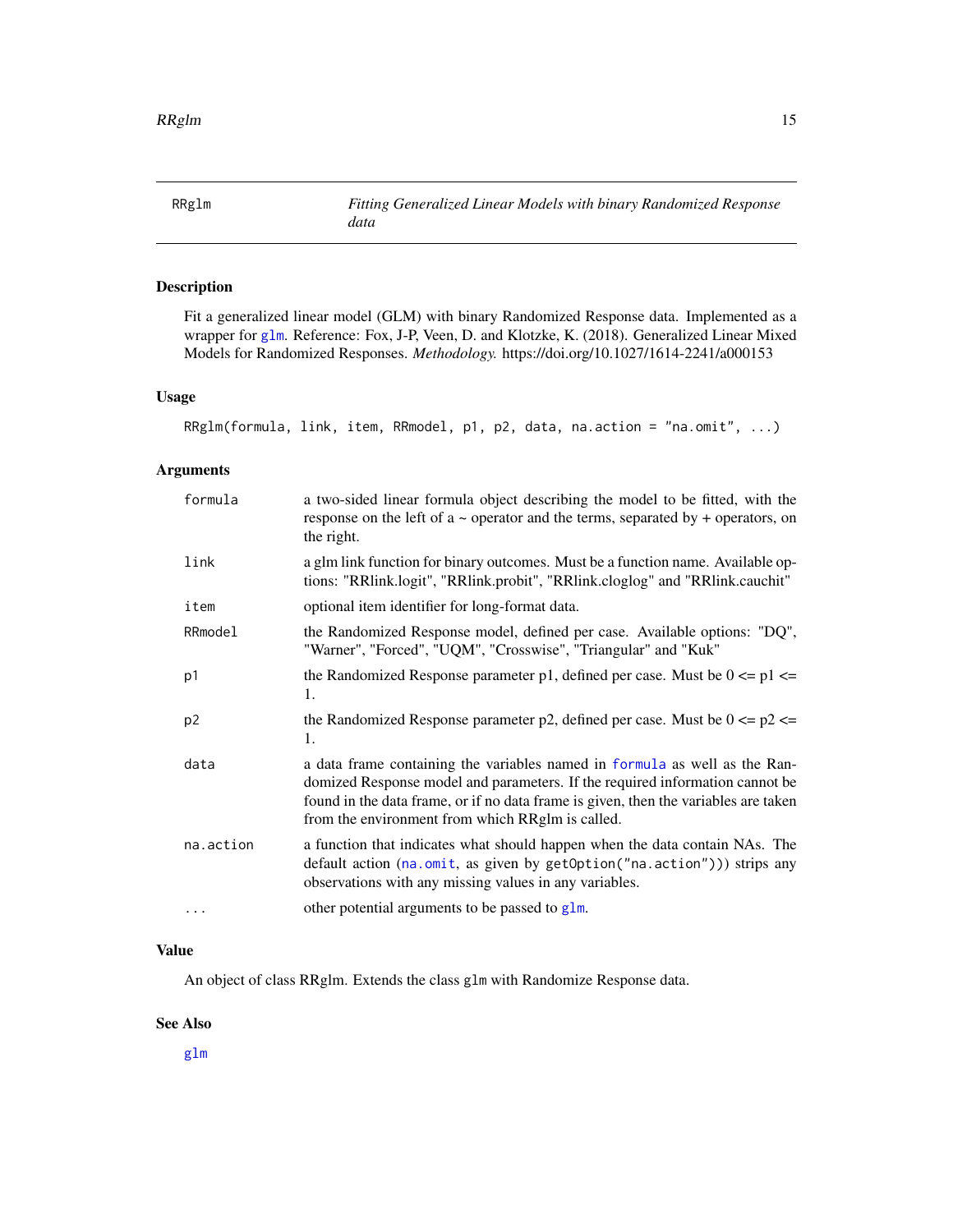<span id="page-14-1"></span><span id="page-14-0"></span>RRglm *Fitting Generalized Linear Models with binary Randomized Response data*

# Description

Fit a generalized linear model (GLM) with binary Randomized Response data. Implemented as a wrapper for [glm](#page-0-0). Reference: Fox, J-P, Veen, D. and Klotzke, K. (2018). Generalized Linear Mixed Models for Randomized Responses. *Methodology.* https://doi.org/10.1027/1614-2241/a000153

#### Usage

```
RRglm(formula, link, item, RRmodel, p1, p2, data, na.action = "na.omit", ...)
```
# Arguments

| formula        | a two-sided linear formula object describing the model to be fitted, with the<br>response on the left of a $\sim$ operator and the terms, separated by $+$ operators, on<br>the right.                                                                                                                |
|----------------|-------------------------------------------------------------------------------------------------------------------------------------------------------------------------------------------------------------------------------------------------------------------------------------------------------|
| link           | a glm link function for binary outcomes. Must be a function name. Available op-<br>tions: "RRlink.logit", "RRlink.probit", "RRlink.cloglog" and "RRlink.cauchit"                                                                                                                                      |
| item           | optional item identifier for long-format data.                                                                                                                                                                                                                                                        |
| RRmodel        | the Randomized Response model, defined per case. Available options: "DQ",<br>"Warner", "Forced", "UQM", "Crosswise", "Triangular" and "Kuk"                                                                                                                                                           |
| p1             | the Randomized Response parameter p1, defined per case. Must be $0 \le p1 \le$<br>1.                                                                                                                                                                                                                  |
| p <sub>2</sub> | the Randomized Response parameter p2, defined per case. Must be $0 \le p2 \le$<br>1.                                                                                                                                                                                                                  |
| data           | a data frame containing the variables named in formula as well as the Ran-<br>domized Response model and parameters. If the required information cannot be<br>found in the data frame, or if no data frame is given, then the variables are taken<br>from the environment from which RRglm is called. |
| na.action      | a function that indicates what should happen when the data contain NAs. The<br>default action (na.omit, as given by getOption("na.action"))) strips any<br>observations with any missing values in any variables.                                                                                     |
| $\cdots$       | other potential arguments to be passed to glm.                                                                                                                                                                                                                                                        |

# Value

An object of class RRglm. Extends the class glm with Randomize Response data.

# See Also

[glm](#page-0-0)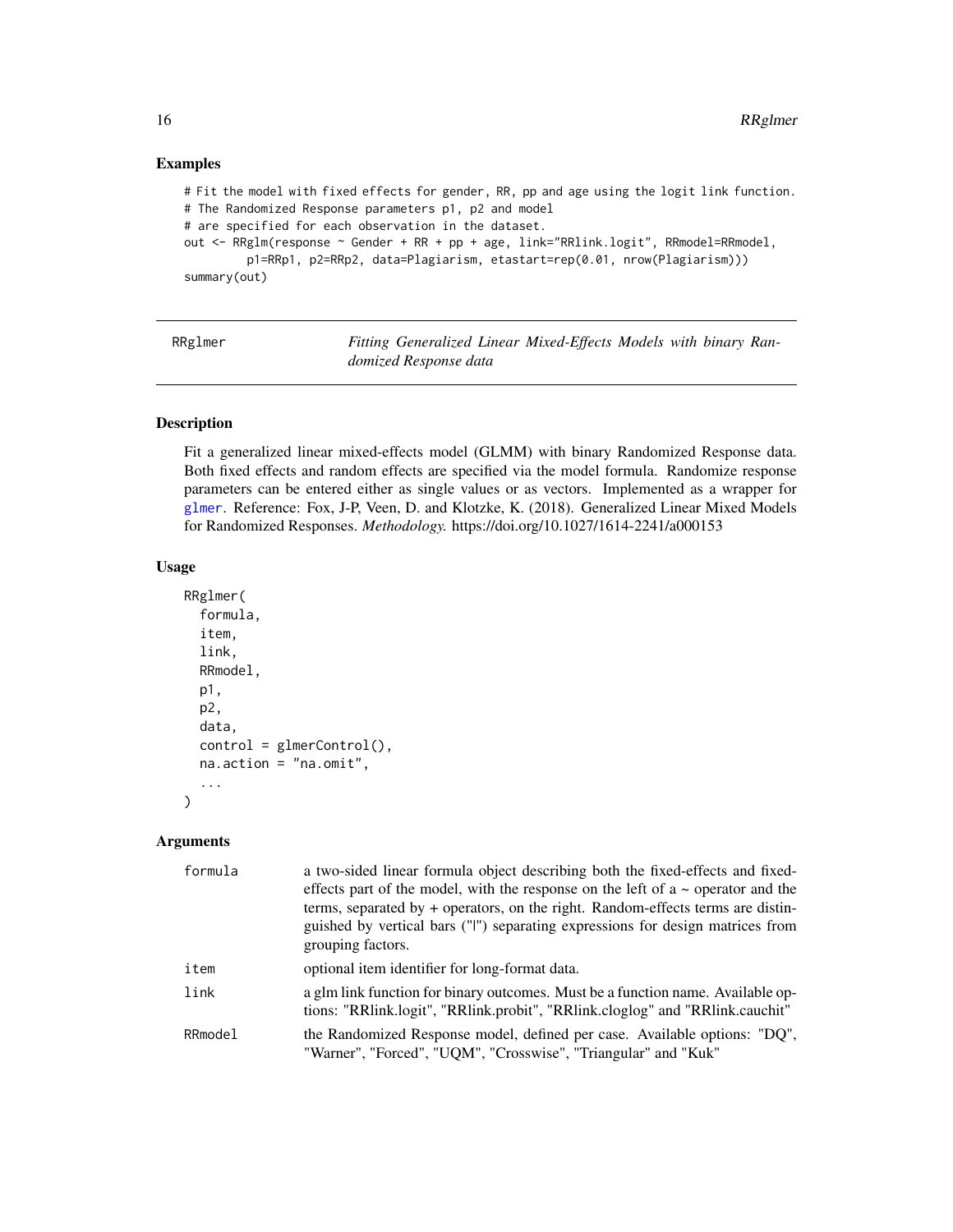#### Examples

```
# Fit the model with fixed effects for gender, RR, pp and age using the logit link function.
# The Randomized Response parameters p1, p2 and model
# are specified for each observation in the dataset.
out <- RRglm(response ~ Gender + RR + pp + age, link="RRlink.logit", RRmodel=RRmodel,
         p1=RRp1, p2=RRp2, data=Plagiarism, etastart=rep(0.01, nrow(Plagiarism)))
summary(out)
```

| Rglmer |
|--------|
|--------|

RRglmer *Fitting Generalized Linear Mixed-Effects Models with binary Randomized Response data*

### Description

Fit a generalized linear mixed-effects model (GLMM) with binary Randomized Response data. Both fixed effects and random effects are specified via the model formula. Randomize response parameters can be entered either as single values or as vectors. Implemented as a wrapper for [glmer](#page-0-0). Reference: Fox, J-P, Veen, D. and Klotzke, K. (2018). Generalized Linear Mixed Models for Randomized Responses. *Methodology.* https://doi.org/10.1027/1614-2241/a000153

#### Usage

```
RRglmer(
  formula,
  item,
  link,
 RRmodel,
  p1,
 p2,
  data,
 control = glmerControl(),
  na.action = "na.omit",
  ...
)
```
#### Arguments

| formula | a two-sided linear formula object describing both the fixed-effects and fixed-<br>effects part of the model, with the response on the left of $a \sim$ operator and the<br>terms, separated by $+$ operators, on the right. Random-effects terms are distin-<br>guished by vertical bars ("I") separating expressions for design matrices from<br>grouping factors. |
|---------|---------------------------------------------------------------------------------------------------------------------------------------------------------------------------------------------------------------------------------------------------------------------------------------------------------------------------------------------------------------------|
| item    | optional item identifier for long-format data.                                                                                                                                                                                                                                                                                                                      |
| link    | a glm link function for binary outcomes. Must be a function name. Available op-<br>tions: "RRlink.logit", "RRlink.probit", "RRlink.cloglog" and "RRlink.cauchit"                                                                                                                                                                                                    |
| RRmodel | the Randomized Response model, defined per case. Available options: "DQ",<br>"Warner", "Forced", "UQM", "Crosswise", "Triangular" and "Kuk"                                                                                                                                                                                                                         |

<span id="page-15-0"></span>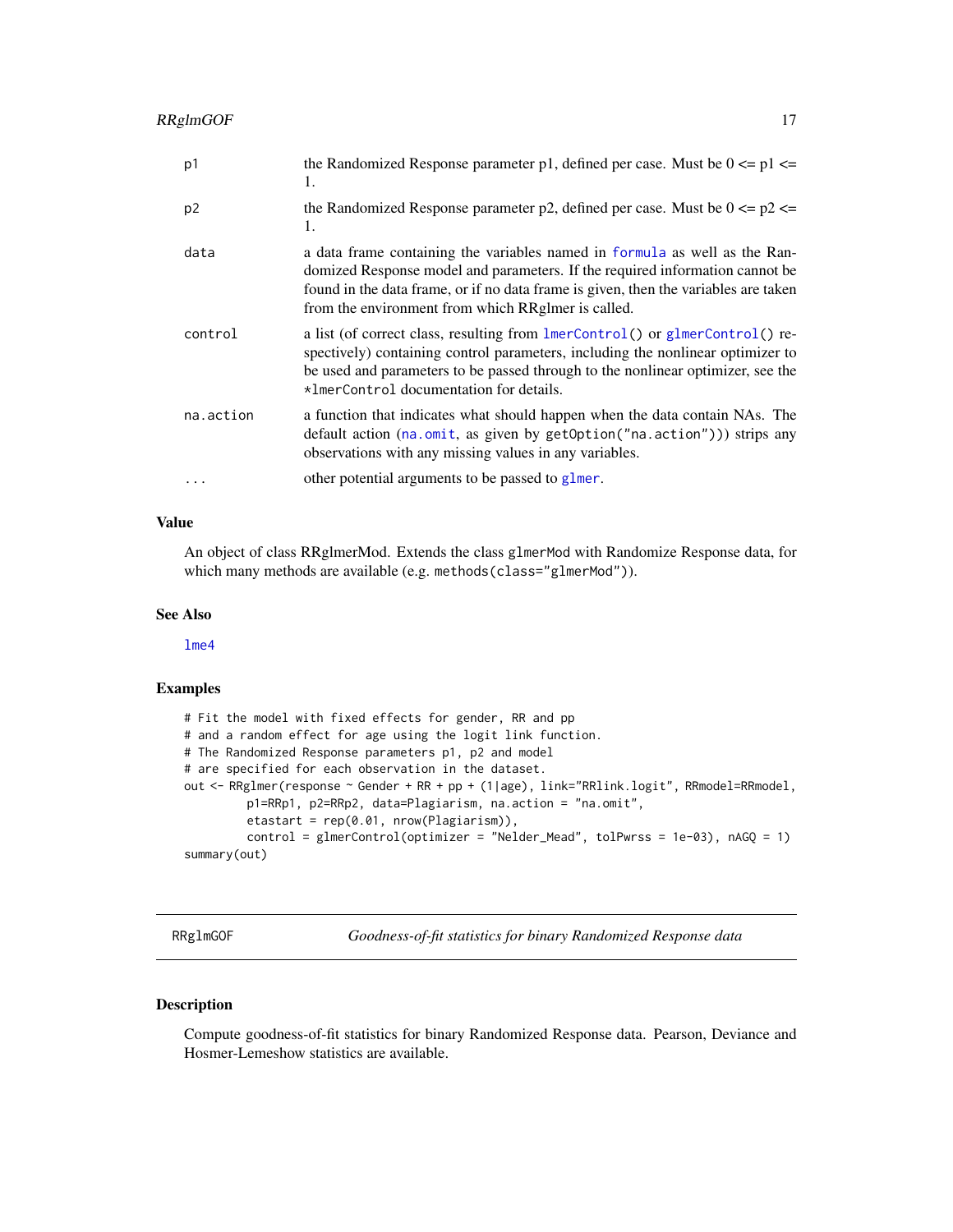<span id="page-16-0"></span>

| p1             | the Randomized Response parameter p1, defined per case. Must be $0 \le p1 \le$<br>1.                                                                                                                                                                                                                    |
|----------------|---------------------------------------------------------------------------------------------------------------------------------------------------------------------------------------------------------------------------------------------------------------------------------------------------------|
| p <sub>2</sub> | the Randomized Response parameter p2, defined per case. Must be $0 \le p2 \le$<br>1.                                                                                                                                                                                                                    |
| data           | a data frame containing the variables named in formula as well as the Ran-<br>domized Response model and parameters. If the required information cannot be<br>found in the data frame, or if no data frame is given, then the variables are taken<br>from the environment from which RRgImer is called. |
| control        | a list (of correct class, resulting from $lmerControl()$ or glmerControl() re-<br>spectively) containing control parameters, including the nonlinear optimizer to<br>be used and parameters to be passed through to the nonlinear optimizer, see the<br>*ImerControl documentation for details.         |
| na.action      | a function that indicates what should happen when the data contain NAs. The<br>default action (na.omit, as given by $getOption("na.action"))$ ) strips any<br>observations with any missing values in any variables.                                                                                    |
| $\ddotsc$      | other potential arguments to be passed to glmer.                                                                                                                                                                                                                                                        |

# Value

An object of class RRglmerMod. Extends the class glmerMod with Randomize Response data, for which many methods are available (e.g. methods(class="glmerMod")).

# See Also

[lme4](#page-0-0)

#### Examples

```
# Fit the model with fixed effects for gender, RR and pp
# and a random effect for age using the logit link function.
# The Randomized Response parameters p1, p2 and model
# are specified for each observation in the dataset.
out <- RRglmer(response ~ Gender + RR + pp + (1|age), link="RRlink.logit", RRmodel=RRmodel,
         p1=RRp1, p2=RRp2, data=Plagiarism, na.action = "na.omit",
         etastart = rep(0.01, nrow(Plagiarism)),
         control = glmerControl(optimizer = "Nelder_Mead", tolPwrss = 1e-03), nAGQ = 1)
summary(out)
```
RRglmGOF *Goodness-of-fit statistics for binary Randomized Response data*

# Description

Compute goodness-of-fit statistics for binary Randomized Response data. Pearson, Deviance and Hosmer-Lemeshow statistics are available.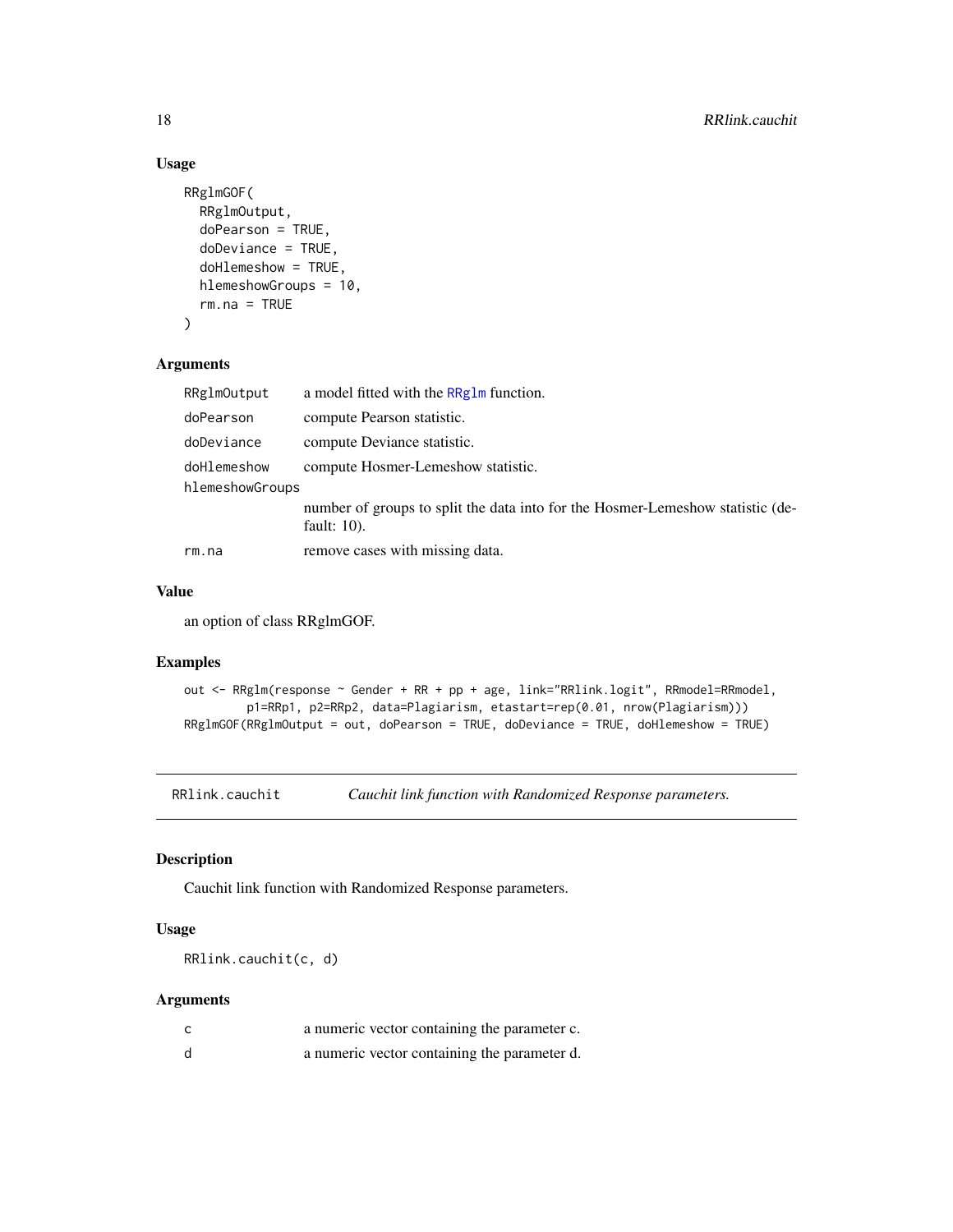# Usage

```
RRglmGOF(
 RRglmOutput,
  doPearson = TRUE,
 doDeviance = TRUE,
  doHlemeshow = TRUE,
 hlemeshowGroups = 10,
  rm.na = TRUE
)
```
#### Arguments

| RRglmOutput     | a model fitted with the RRg1m function.                                                          |  |
|-----------------|--------------------------------------------------------------------------------------------------|--|
| doPearson       | compute Pearson statistic.                                                                       |  |
| doDeviance      | compute Deviance statistic.                                                                      |  |
| doHlemeshow     | compute Hosmer-Lemeshow statistic.                                                               |  |
| hlemeshowGroups |                                                                                                  |  |
|                 | number of groups to split the data into for the Hosmer-Lemeshow statistic (de-<br>fault: $10$ ). |  |
| rm.na           | remove cases with missing data.                                                                  |  |

#### Value

an option of class RRglmGOF.

#### Examples

```
out <- RRglm(response ~ Gender + RR + pp + age, link="RRlink.logit", RRmodel=RRmodel,
         p1=RRp1, p2=RRp2, data=Plagiarism, etastart=rep(0.01, nrow(Plagiarism)))
RRglmGOF(RRglmOutput = out, doPearson = TRUE, doDeviance = TRUE, doHlemeshow = TRUE)
```
RRlink.cauchit *Cauchit link function with Randomized Response parameters.*

# Description

Cauchit link function with Randomized Response parameters.

#### Usage

```
RRlink.cauchit(c, d)
```
# Arguments

|   | a numeric vector containing the parameter c. |
|---|----------------------------------------------|
| d | a numeric vector containing the parameter d. |

<span id="page-17-0"></span>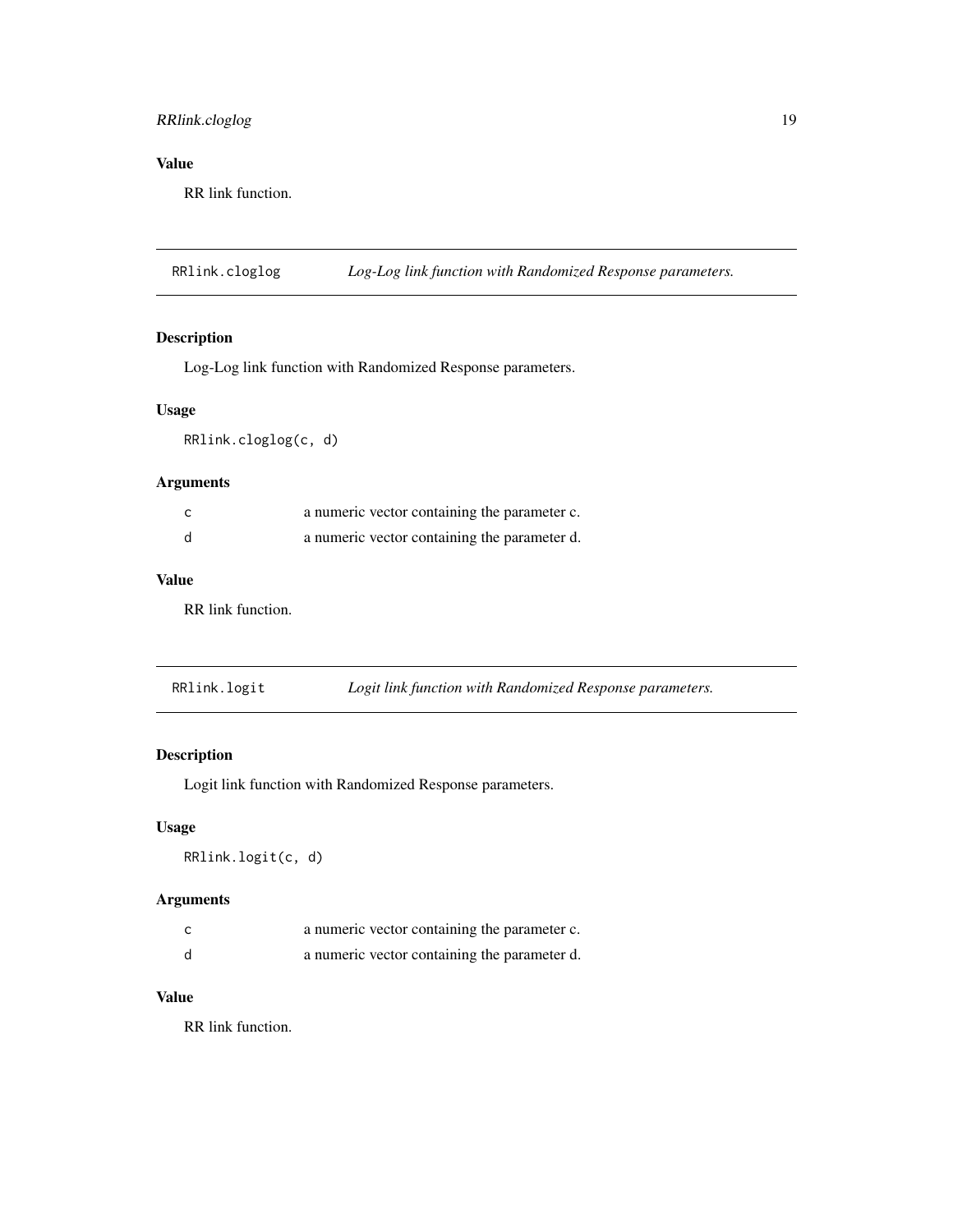# <span id="page-18-0"></span>RRlink.cloglog 19

# Value

RR link function.

RRlink.cloglog *Log-Log link function with Randomized Response parameters.*

# Description

Log-Log link function with Randomized Response parameters.

## Usage

RRlink.cloglog(c, d)

### Arguments

|   | a numeric vector containing the parameter c. |
|---|----------------------------------------------|
| d | a numeric vector containing the parameter d. |

#### Value

RR link function.

RRlink.logit *Logit link function with Randomized Response parameters.*

# Description

Logit link function with Randomized Response parameters.

# Usage

RRlink.logit(c, d)

# Arguments

|   | a numeric vector containing the parameter c. |
|---|----------------------------------------------|
| d | a numeric vector containing the parameter d. |

# Value

RR link function.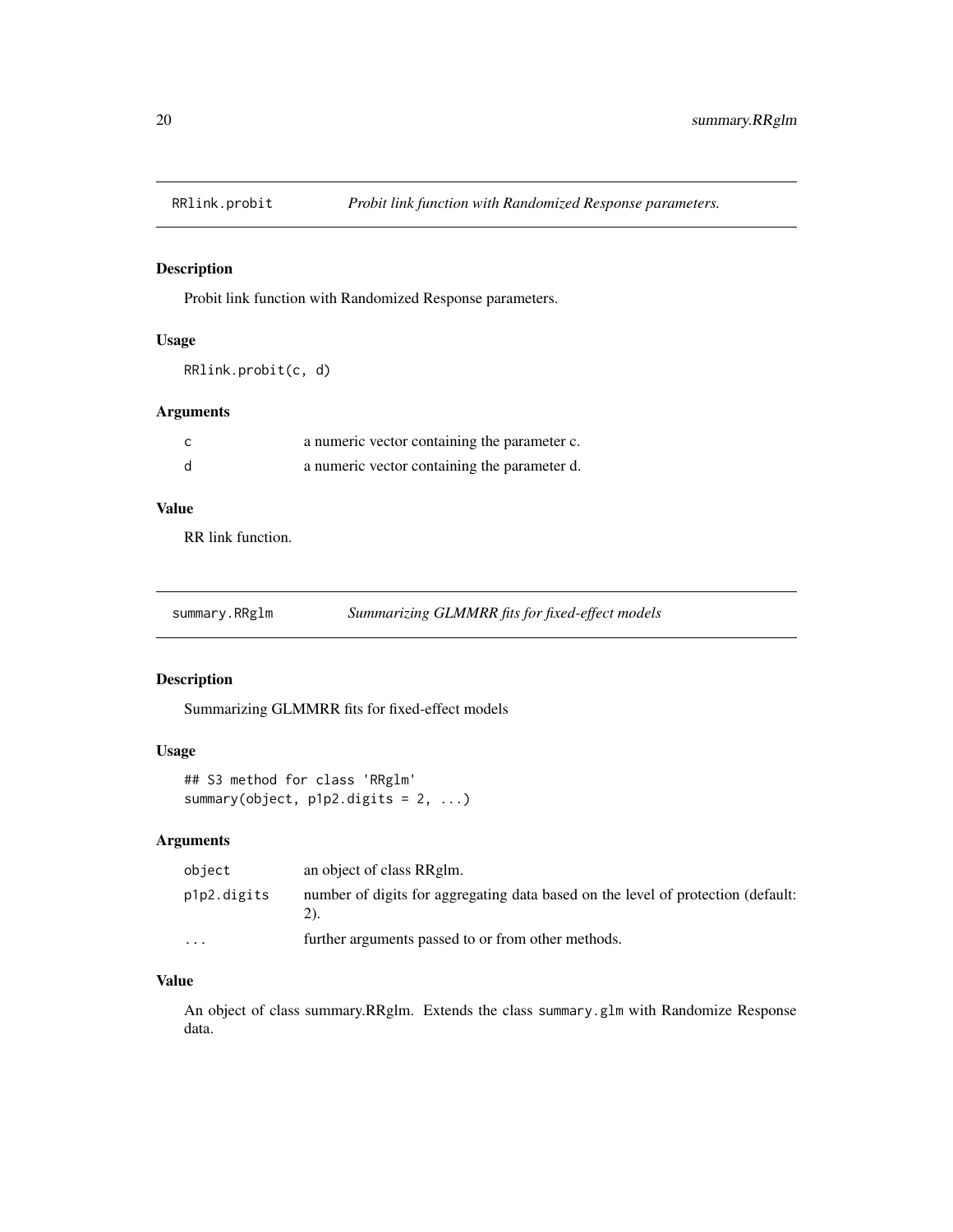<span id="page-19-0"></span>

Probit link function with Randomized Response parameters.

# Usage

```
RRlink.probit(c, d)
```
#### Arguments

| C | a numeric vector containing the parameter c. |
|---|----------------------------------------------|
| d | a numeric vector containing the parameter d. |

# Value

RR link function.

| summary.RRglm |  |  | Summarizing GLMMRR fits for fixed-effect models |
|---------------|--|--|-------------------------------------------------|
|---------------|--|--|-------------------------------------------------|

# Description

Summarizing GLMMRR fits for fixed-effect models

#### Usage

```
## S3 method for class 'RRglm'
summary(object, p1p2.digits = 2, ...)
```
### Arguments

| object      | an object of class RRglm.                                                        |
|-------------|----------------------------------------------------------------------------------|
| p1p2.digits | number of digits for aggregating data based on the level of protection (default: |
| $\cdot$     | further arguments passed to or from other methods.                               |

#### Value

An object of class summary.RRglm. Extends the class summary.glm with Randomize Response data.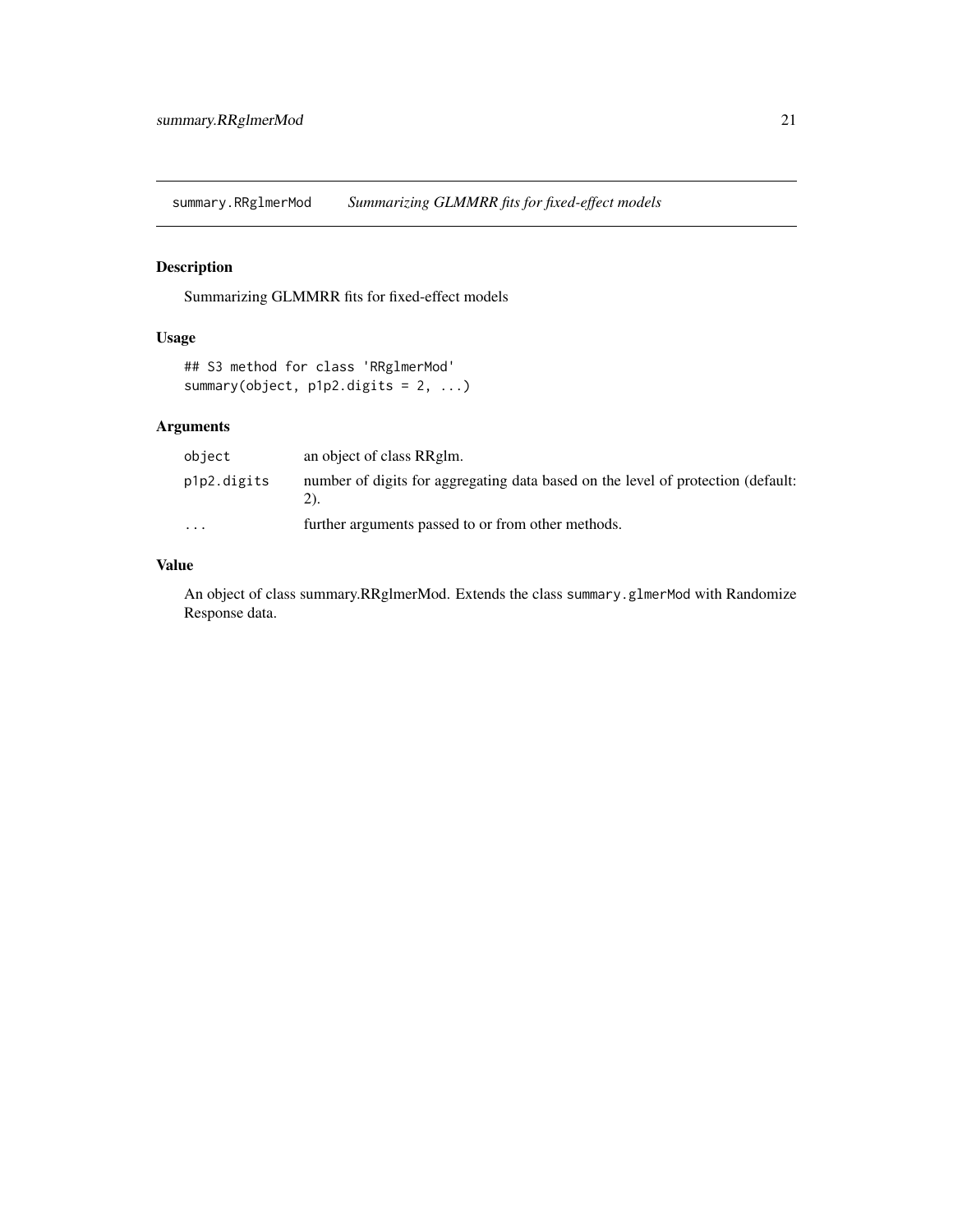<span id="page-20-0"></span>summary.RRglmerMod *Summarizing GLMMRR fits for fixed-effect models*

# Description

Summarizing GLMMRR fits for fixed-effect models

# Usage

```
## S3 method for class 'RRglmerMod'
summary(object, p1p2.digits = 2, ...)
```
# Arguments

| object                  | an object of class RRglm.                                                        |
|-------------------------|----------------------------------------------------------------------------------|
| p1p2.digits             | number of digits for aggregating data based on the level of protection (default: |
| $\cdot$ $\cdot$ $\cdot$ | further arguments passed to or from other methods.                               |

# Value

An object of class summary.RRglmerMod. Extends the class summary.glmerMod with Randomize Response data.